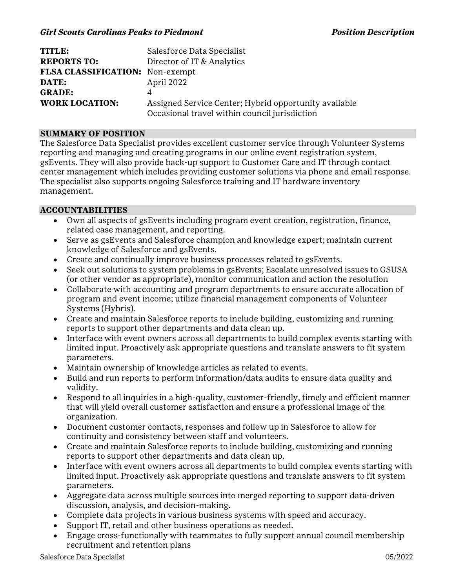| <b>TITLE:</b>                   | Salesforce Data Specialist                            |
|---------------------------------|-------------------------------------------------------|
| <b>REPORTS TO:</b>              | Director of IT & Analytics                            |
| FLSA CLASSIFICATION: Non-exempt |                                                       |
| DATE:                           | April 2022                                            |
| <b>GRADE:</b>                   | 4                                                     |
| <b>WORK LOCATION:</b>           | Assigned Service Center; Hybrid opportunity available |
|                                 | Occasional travel within council jurisdiction         |

### **SUMMARY OF POSITION**

The Salesforce Data Specialist provides excellent customer service through Volunteer Systems reporting and managing and creating programs in our online event registration system, gsEvents. They will also provide back-up support to Customer Care and IT through contact center management which includes providing customer solutions via phone and email response. The specialist also supports ongoing Salesforce training and IT hardware inventory management.

### **ACCOUNTABILITIES**

- · Own all aspects of gsEvents including program event creation, registration, finance, related case management, and reporting.
- · Serve as gsEvents and Salesforce champion and knowledge expert; maintain current knowledge of Salesforce and gsEvents.
- · Create and continually improve business processes related to gsEvents.
- · Seek out solutions to system problems in gsEvents; Escalate unresolved issues to GSUSA (or other vendor as appropriate), monitor communication and action the resolution
- · Collaborate with accounting and program departments to ensure accurate allocation of program and event income; utilize financial management components of Volunteer Systems (Hybris).
- · Create and maintain Salesforce reports to include building, customizing and running reports to support other departments and data clean up.
- · Interface with event owners across all departments to build complex events starting with limited input. Proactively ask appropriate questions and translate answers to fit system parameters.
- · Maintain ownership of knowledge articles as related to events.
- · Build and run reports to perform information/data audits to ensure data quality and validity.
- · Respond to all inquiries in a high-quality, customer-friendly, timely and efficient manner that will yield overall customer satisfaction and ensure a professional image of the organization.
- · Document customer contacts, responses and follow up in Salesforce to allow for continuity and consistency between staff and volunteers.
- · Create and maintain Salesforce reports to include building, customizing and running reports to support other departments and data clean up.
- · Interface with event owners across all departments to build complex events starting with limited input. Proactively ask appropriate questions and translate answers to fit system parameters.
- · Aggregate data across multiple sources into merged reporting to support data-driven discussion, analysis, and decision-making.
- · Complete data projects in various business systems with speed and accuracy.
- Support IT, retail and other business operations as needed.
- · Engage cross-functionally with teammates to fully support annual council membership recruitment and retention plans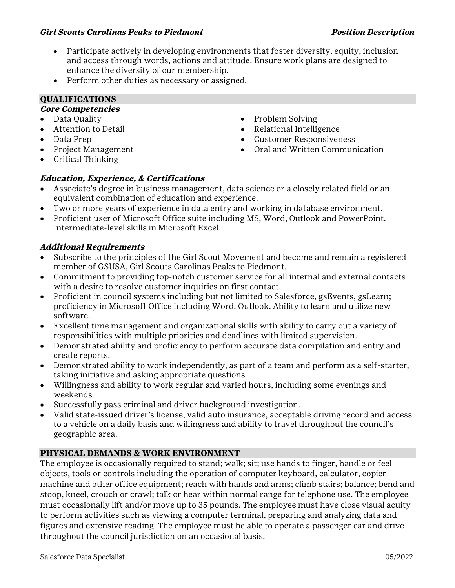#### *Girl Scouts Carolinas Peaks to Piedmont Position Description*

· Participate actively in developing environments that foster diversity, equity, inclusion and access through words, actions and attitude. Ensure work plans are designed to enhance the diversity of our membership.

· Problem Solving

· Relational Intelligence · Customer Responsiveness

· Oral and Written Communication

· Perform other duties as necessary or assigned.

# **QUALIFICATIONS**

## **Core Competencies**

- · Data Quality
- · Attention to Detail
- · Data Prep
- · Project Management
- · Critical Thinking

## **Education, Experience, & Certifications**

- Associate's degree in business management, data science or a closely related field or an equivalent combination of education and experience.
- · Two or more years of experience in data entry and working in database environment.
- · Proficient user of Microsoft Office suite including MS, Word, Outlook and PowerPoint. Intermediate-level skills in Microsoft Excel.

## **Additional Requirements**

- Subscribe to the principles of the Girl Scout Movement and become and remain a registered member of GSUSA, Girl Scouts Carolinas Peaks to Piedmont.
- · Commitment to providing top-notch customer service for all internal and external contacts with a desire to resolve customer inquiries on first contact.
- · Proficient in council systems including but not limited to Salesforce, gsEvents, gsLearn; proficiency in Microsoft Office including Word, Outlook. Ability to learn and utilize new software.
- · Excellent time management and organizational skills with ability to carry out a variety of responsibilities with multiple priorities and deadlines with limited supervision.
- · Demonstrated ability and proficiency to perform accurate data compilation and entry and create reports.
- · Demonstrated ability to work independently, as part of a team and perform as a self-starter, taking initiative and asking appropriate questions
- · Willingness and ability to work regular and varied hours, including some evenings and weekends
- · Successfully pass criminal and driver background investigation.
- · Valid state-issued driver's license, valid auto insurance, acceptable driving record and access to a vehicle on a daily basis and willingness and ability to travel throughout the council's geographic area.

## **PHYSICAL DEMANDS & WORK ENVIRONMENT**

The employee is occasionally required to stand; walk; sit; use hands to finger, handle or feel objects, tools or controls including the operation of computer keyboard, calculator, copier machine and other office equipment; reach with hands and arms; climb stairs; balance; bend and stoop, kneel, crouch or crawl; talk or hear within normal range for telephone use. The employee must occasionally lift and/or move up to 35 pounds. The employee must have close visual acuity to perform activities such as viewing a computer terminal, preparing and analyzing data and figures and extensive reading. The employee must be able to operate a passenger car and drive throughout the council jurisdiction on an occasional basis.